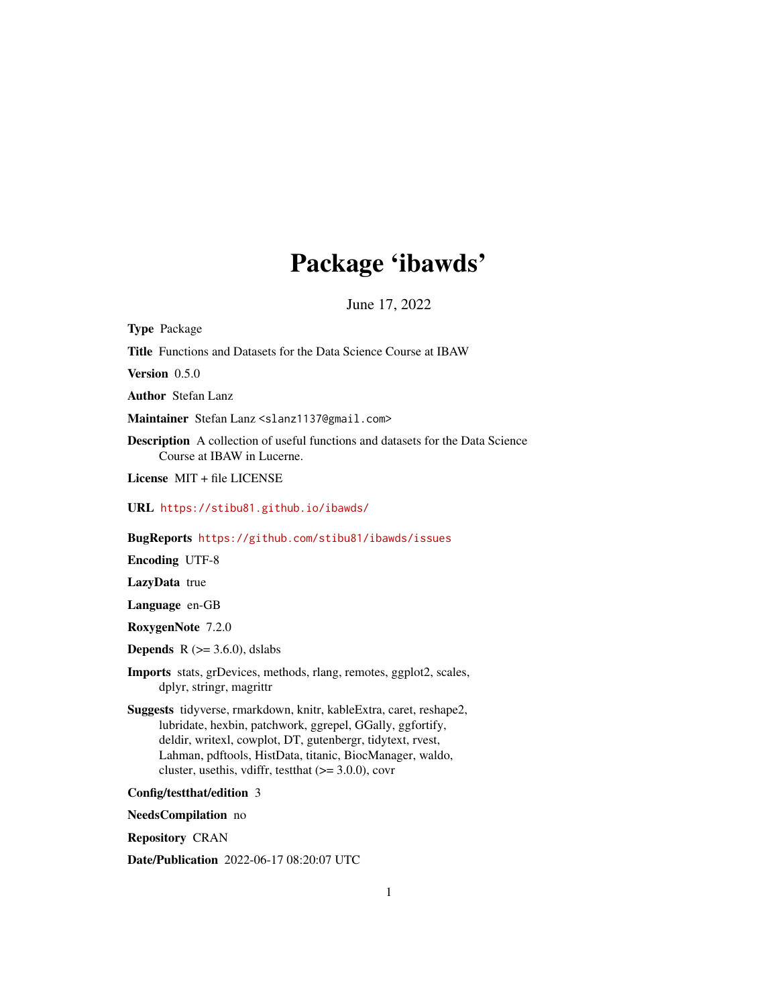# Package 'ibawds'

June 17, 2022

<span id="page-0-0"></span>Type Package Title Functions and Datasets for the Data Science Course at IBAW Version 0.5.0 Author Stefan Lanz Maintainer Stefan Lanz <slanz1137@gmail.com> Description A collection of useful functions and datasets for the Data Science Course at IBAW in Lucerne. License MIT + file LICENSE URL <https://stibu81.github.io/ibawds/> BugReports <https://github.com/stibu81/ibawds/issues> Encoding UTF-8 LazyData true Language en-GB RoxygenNote 7.2.0 **Depends**  $R$  ( $>= 3.6.0$ ), dslabs

Imports stats, grDevices, methods, rlang, remotes, ggplot2, scales, dplyr, stringr, magrittr

Suggests tidyverse, rmarkdown, knitr, kableExtra, caret, reshape2, lubridate, hexbin, patchwork, ggrepel, GGally, ggfortify, deldir, writexl, cowplot, DT, gutenbergr, tidytext, rvest, Lahman, pdftools, HistData, titanic, BiocManager, waldo, cluster, usethis, vdiffr, test that  $(>= 3.0.0)$ , covr

Config/testthat/edition 3

NeedsCompilation no

Repository CRAN

Date/Publication 2022-06-17 08:20:07 UTC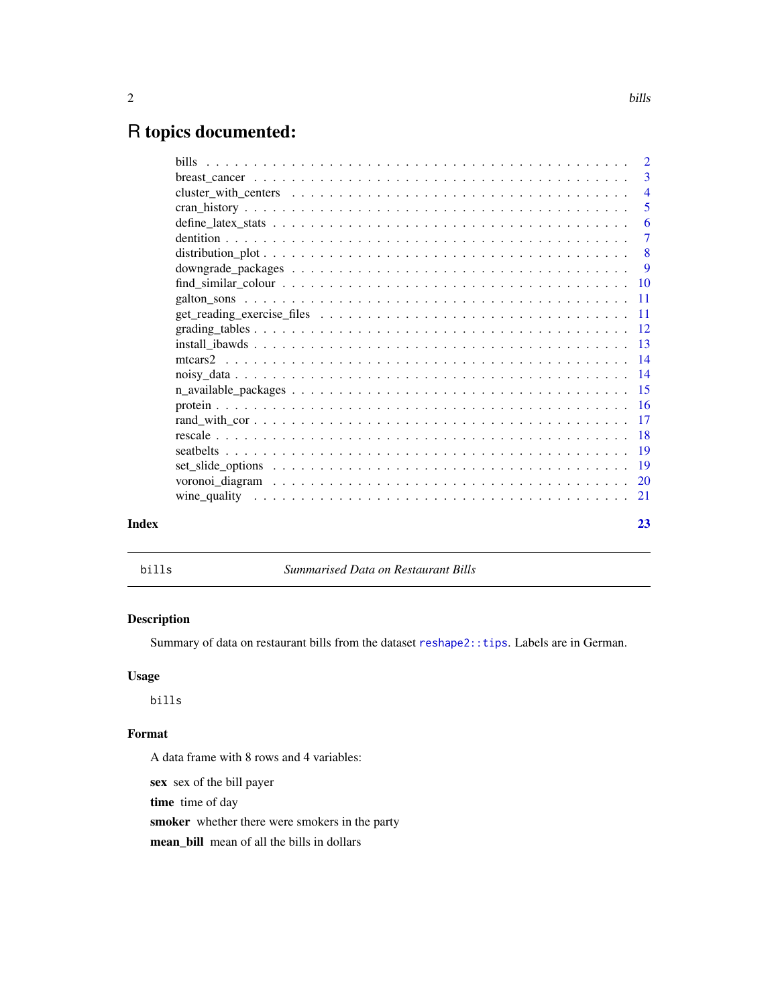## <span id="page-1-0"></span>R topics documented:

|       | $\overline{2}$            |
|-------|---------------------------|
|       | 3                         |
|       | $\overline{4}$            |
|       | 5                         |
|       | -6                        |
|       | $\overline{7}$            |
|       | $\overline{\phantom{0}}8$ |
|       | - 9                       |
|       |                           |
|       |                           |
|       |                           |
|       |                           |
|       |                           |
|       |                           |
|       |                           |
|       |                           |
|       |                           |
|       |                           |
|       |                           |
|       |                           |
|       |                           |
|       |                           |
|       |                           |
| Index | 23                        |
|       |                           |

bills *Summarised Data on Restaurant Bills*

#### Description

Summary of data on restaurant bills from the dataset [reshape2::tips](#page-0-0). Labels are in German.

#### Usage

bills

### Format

A data frame with 8 rows and 4 variables:

sex sex of the bill payer

time time of day

smoker whether there were smokers in the party

mean\_bill mean of all the bills in dollars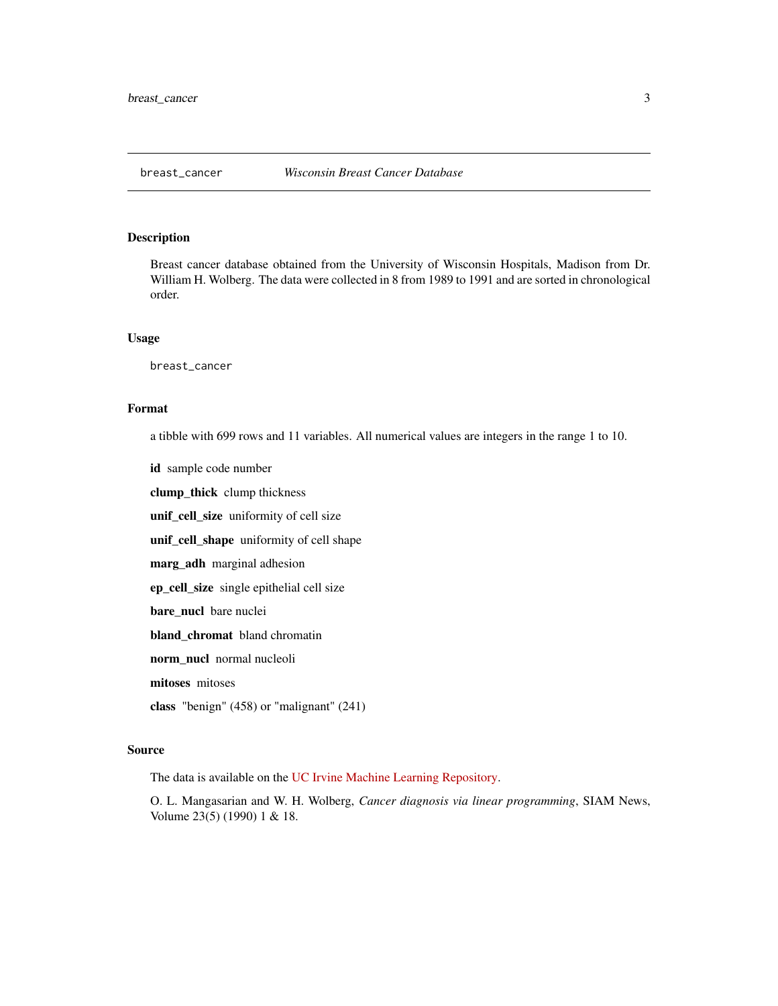<span id="page-2-0"></span>

Breast cancer database obtained from the University of Wisconsin Hospitals, Madison from Dr. William H. Wolberg. The data were collected in 8 from 1989 to 1991 and are sorted in chronological order.

#### Usage

breast\_cancer

#### Format

a tibble with 699 rows and 11 variables. All numerical values are integers in the range 1 to 10.

id sample code number

clump\_thick clump thickness

unif\_cell\_size uniformity of cell size

unif\_cell\_shape uniformity of cell shape

marg\_adh marginal adhesion

ep\_cell\_size single epithelial cell size

bare\_nucl bare nuclei

bland\_chromat bland chromatin

norm nucl normal nucleoli

mitoses mitoses

class "benign" (458) or "malignant" (241)

#### Source

The data is available on the [UC Irvine Machine Learning Repository.](https://archive-beta.ics.uci.edu/ml/datasets/breast+cancer+wisconsin+original)

O. L. Mangasarian and W. H. Wolberg, *Cancer diagnosis via linear programming*, SIAM News, Volume 23(5) (1990) 1 & 18.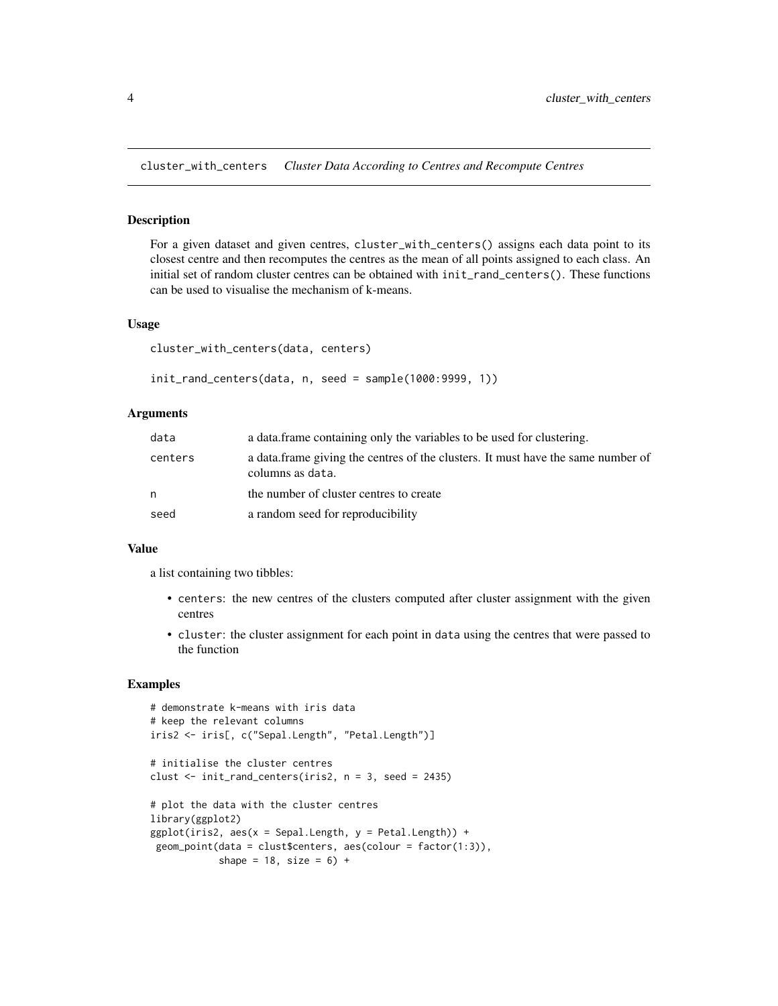<span id="page-3-0"></span>cluster\_with\_centers *Cluster Data According to Centres and Recompute Centres*

#### Description

For a given dataset and given centres, cluster\_with\_centers() assigns each data point to its closest centre and then recomputes the centres as the mean of all points assigned to each class. An initial set of random cluster centres can be obtained with init\_rand\_centers(). These functions can be used to visualise the mechanism of k-means.

#### Usage

```
cluster_with_centers(data, centers)
```
init\_rand\_centers(data, n, seed = sample(1000:9999, 1))

#### Arguments

| data    | a data frame containing only the variables to be used for clustering.                                |
|---------|------------------------------------------------------------------------------------------------------|
| centers | a data frame giving the centres of the clusters. It must have the same number of<br>columns as data. |
| n       | the number of cluster centres to create                                                              |
| seed    | a random seed for reproducibility                                                                    |

#### Value

a list containing two tibbles:

- centers: the new centres of the clusters computed after cluster assignment with the given centres
- cluster: the cluster assignment for each point in data using the centres that were passed to the function

#### Examples

```
# demonstrate k-means with iris data
# keep the relevant columns
iris2 <- iris[, c("Sepal.Length", "Petal.Length")]
# initialise the cluster centres
clust \le init_rand_centers(iris2, n = 3, seed = 2435)
# plot the data with the cluster centres
library(ggplot2)
ggplot(iris2, aes(x = Sepal.Length, y = Petal.Length)) +geom\_point(data = clusters, asc(colour = factor(1:3)),shape = 18, size = 6) +
```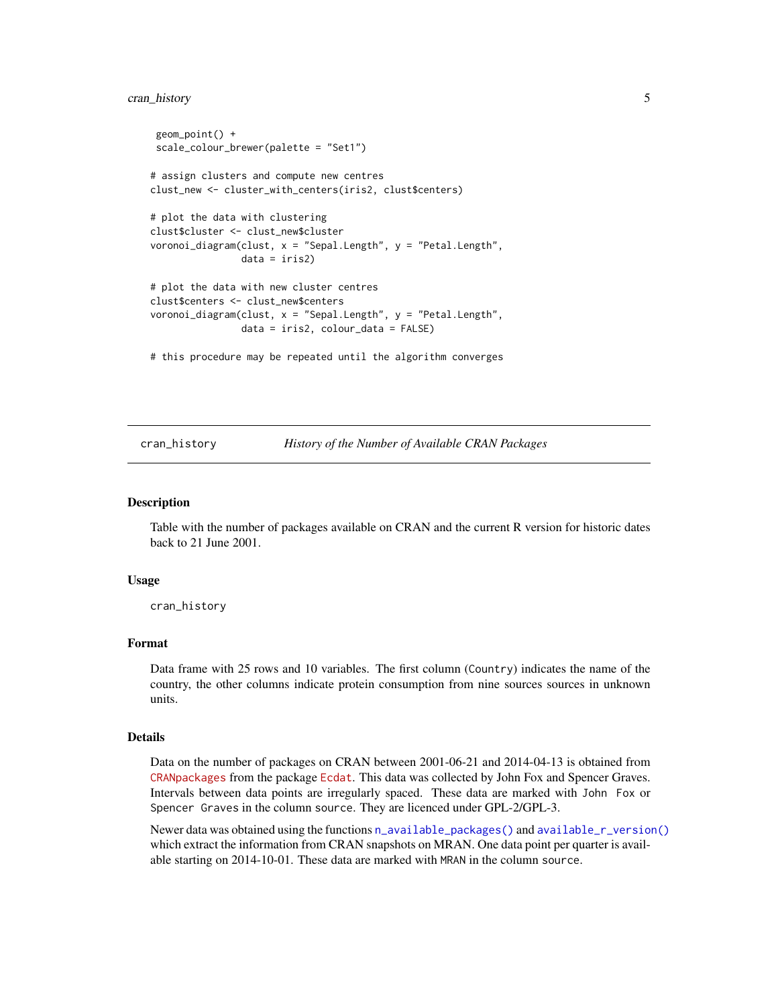#### <span id="page-4-0"></span>cran\_history 5

```
geom_point() +
scale_colour_brewer(palette = "Set1")
# assign clusters and compute new centres
clust_new <- cluster_with_centers(iris2, clust$centers)
# plot the data with clustering
clust$cluster <- clust_new$cluster
voronoi_diagram(clust, x = "Sepal.Length", y = "Petal.Length",
               data = iris2)# plot the data with new cluster centres
clust$centers <- clust_new$centers
voronoi_diagram(clust, x = "Sepal.Length", y = "Petal.Length",
                data = iris2, colour_data = FALSE)
# this procedure may be repeated until the algorithm converges
```
<span id="page-4-1"></span>cran\_history *History of the Number of Available CRAN Packages*

#### Description

Table with the number of packages available on CRAN and the current R version for historic dates back to 21 June 2001.

#### Usage

cran\_history

#### Format

Data frame with 25 rows and 10 variables. The first column (Country) indicates the name of the country, the other columns indicate protein consumption from nine sources sources in unknown units.

#### Details

Data on the number of packages on CRAN between 2001-06-21 and 2014-04-13 is obtained from [CRANpackages](https://www.rdocumentation.org/packages/Ecdat/versions/0.3-9/topics/CRANpackages) from the package [Ecdat](https://cran.r-project.org/package=Ecdat). This data was collected by John Fox and Spencer Graves. Intervals between data points are irregularly spaced. These data are marked with John Fox or Spencer Graves in the column source. They are licenced under GPL-2/GPL-3.

Newer data was obtained using the functions [n\\_available\\_packages\(\)](#page-14-1) and [available\\_r\\_version\(\)](#page-14-2) which extract the information from CRAN snapshots on MRAN. One data point per quarter is available starting on 2014-10-01. These data are marked with MRAN in the column source.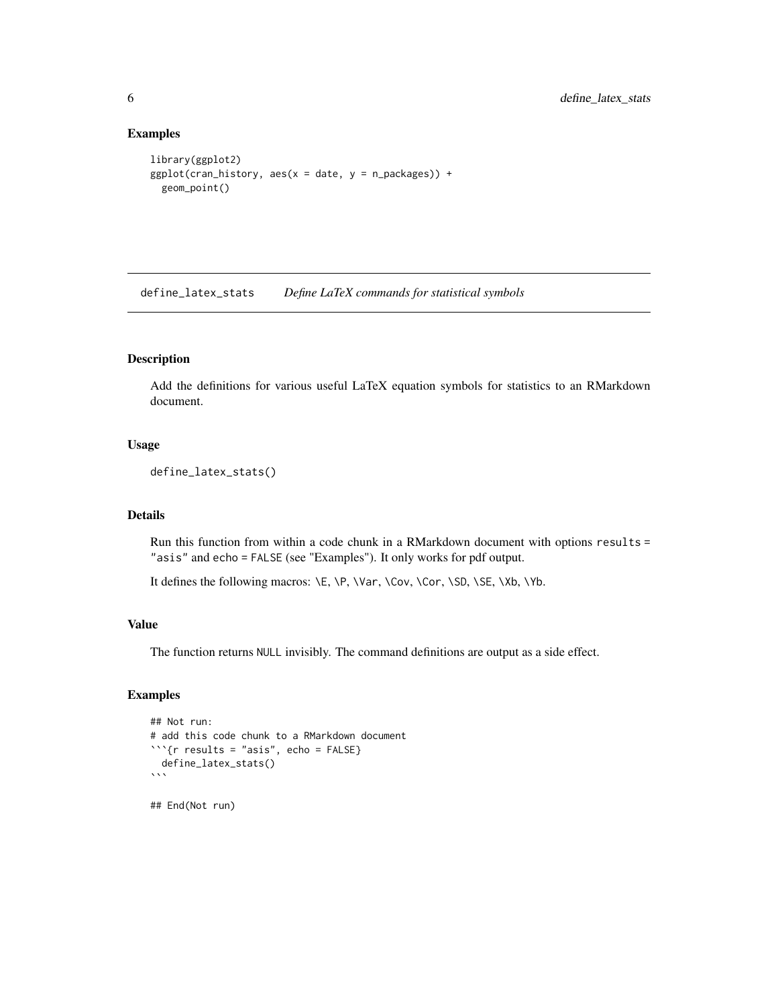#### Examples

```
library(ggplot2)
ggplot(cran\_history, aes(x = date, y = n\_packages)) +geom_point()
```
define\_latex\_stats *Define LaTeX commands for statistical symbols*

#### Description

Add the definitions for various useful LaTeX equation symbols for statistics to an RMarkdown document.

#### Usage

```
define_latex_stats()
```
#### Details

Run this function from within a code chunk in a RMarkdown document with options results = "asis" and echo = FALSE (see "Examples"). It only works for pdf output.

It defines the following macros: \E, \P, \Var, \Cov, \Cor, \SD, \SE, \Xb, \Yb.

#### Value

The function returns NULL invisibly. The command definitions are output as a side effect.

#### Examples

```
## Not run:
# add this code chunk to a RMarkdown document
```{r results = "asis", echo = FALSE}
 define_latex_stats()
\sqrt{2}
```
## End(Not run)

<span id="page-5-0"></span>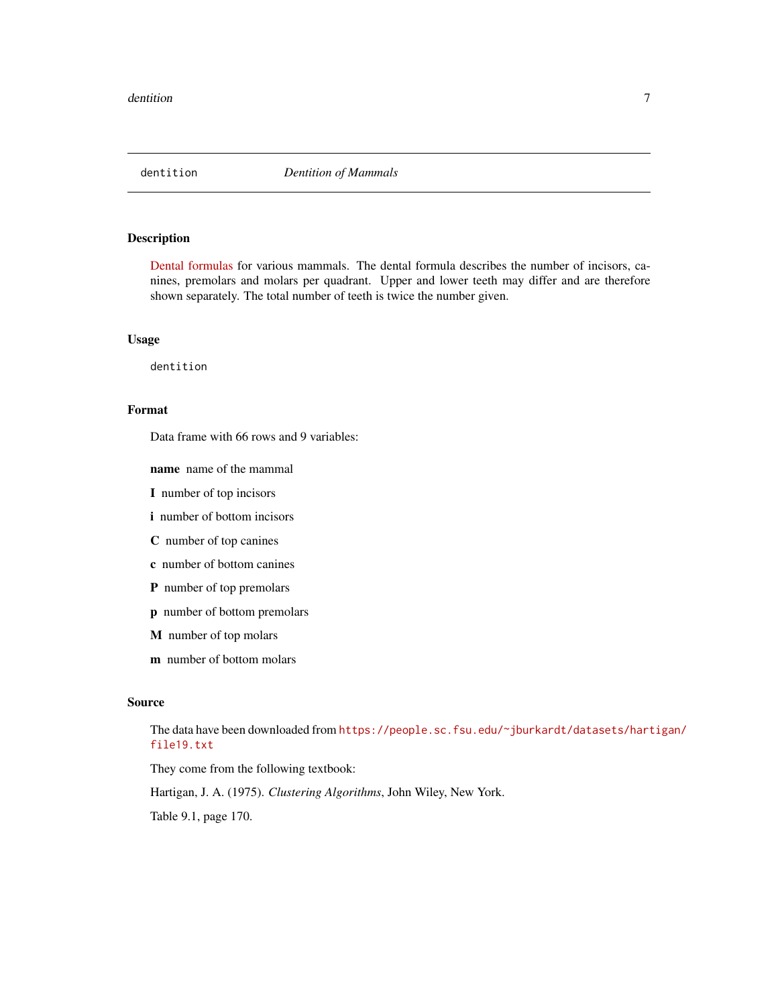<span id="page-6-0"></span>

[Dental formulas](https://en.wikipedia.org/wiki/Dentition#Dental_formula) for various mammals. The dental formula describes the number of incisors, canines, premolars and molars per quadrant. Upper and lower teeth may differ and are therefore shown separately. The total number of teeth is twice the number given.

#### Usage

dentition

#### Format

Data frame with 66 rows and 9 variables:

name name of the mammal

I number of top incisors

i number of bottom incisors

C number of top canines

c number of bottom canines

P number of top premolars

p number of bottom premolars

M number of top molars

m number of bottom molars

#### Source

The data have been downloaded from [https://people.sc.fsu.edu/~jburkardt/datasets/hart](https://people.sc.fsu.edu/~jburkardt/datasets/hartigan/file19.txt)igan/ [file19.txt](https://people.sc.fsu.edu/~jburkardt/datasets/hartigan/file19.txt)

They come from the following textbook:

Hartigan, J. A. (1975). *Clustering Algorithms*, John Wiley, New York.

Table 9.1, page 170.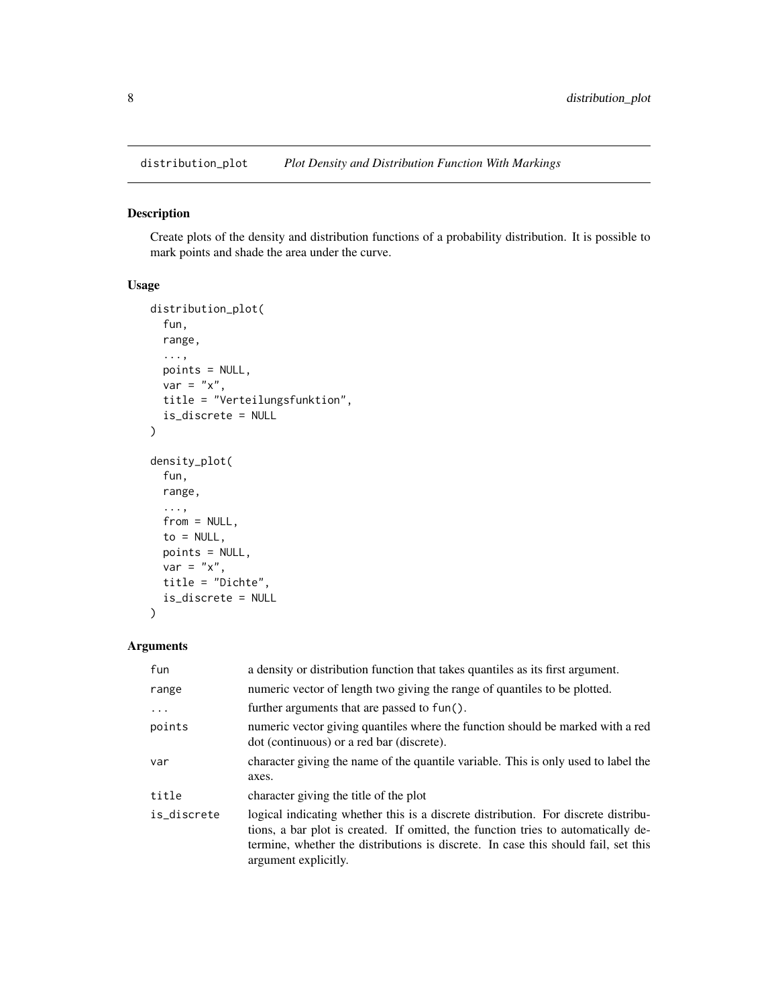<span id="page-7-0"></span>

Create plots of the density and distribution functions of a probability distribution. It is possible to mark points and shade the area under the curve.

#### Usage

```
distribution_plot(
  fun,
  range,
  ...,
 points = NULL,
 var = "x",title = "Verteilungsfunktion",
  is_discrete = NULL
)
density_plot(
  fun,
  range,
  ...,
  from = NULL,
  to = NULL,points = NULL,
 var = "x",title = "Dichte",
  is_discrete = NULL
)
```
#### Arguments

| fun         | a density or distribution function that takes quantiles as its first argument.                                                                                                                                                                                                        |
|-------------|---------------------------------------------------------------------------------------------------------------------------------------------------------------------------------------------------------------------------------------------------------------------------------------|
| range       | numeric vector of length two giving the range of quantiles to be plotted.                                                                                                                                                                                                             |
| $\ddots$ .  | further arguments that are passed to fun().                                                                                                                                                                                                                                           |
| points      | numeric vector giving quantiles where the function should be marked with a red<br>dot (continuous) or a red bar (discrete).                                                                                                                                                           |
| var         | character giving the name of the quantile variable. This is only used to label the<br>axes.                                                                                                                                                                                           |
| title       | character giving the title of the plot                                                                                                                                                                                                                                                |
| is discrete | logical indicating whether this is a discrete distribution. For discrete distribu-<br>tions, a bar plot is created. If omitted, the function tries to automatically de-<br>termine, whether the distributions is discrete. In case this should fail, set this<br>argument explicitly. |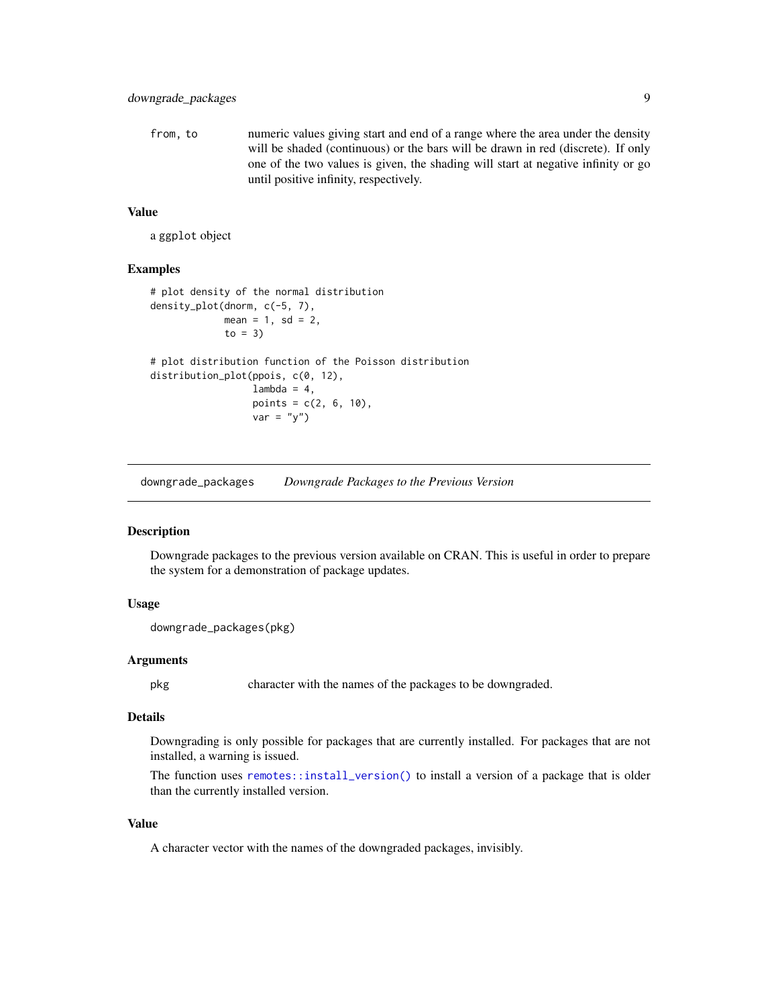<span id="page-8-0"></span>from, to numeric values giving start and end of a range where the area under the density will be shaded (continuous) or the bars will be drawn in red (discrete). If only one of the two values is given, the shading will start at negative infinity or go until positive infinity, respectively.

#### Value

a ggplot object

#### Examples

```
# plot density of the normal distribution
density_plot(dnorm, c(-5, 7),
            mean = 1, sd = 2,
             to = 3)
# plot distribution function of the Poisson distribution
distribution_plot(ppois, c(0, 12),
                  lambda = 4,
                  points = c(2, 6, 10),
                  var = "y")
```
downgrade\_packages *Downgrade Packages to the Previous Version*

#### Description

Downgrade packages to the previous version available on CRAN. This is useful in order to prepare the system for a demonstration of package updates.

#### Usage

```
downgrade_packages(pkg)
```
#### Arguments

pkg character with the names of the packages to be downgraded.

#### Details

Downgrading is only possible for packages that are currently installed. For packages that are not installed, a warning is issued.

The function uses [remotes::install\\_version\(\)](#page-0-0) to install a version of a package that is older than the currently installed version.

#### Value

A character vector with the names of the downgraded packages, invisibly.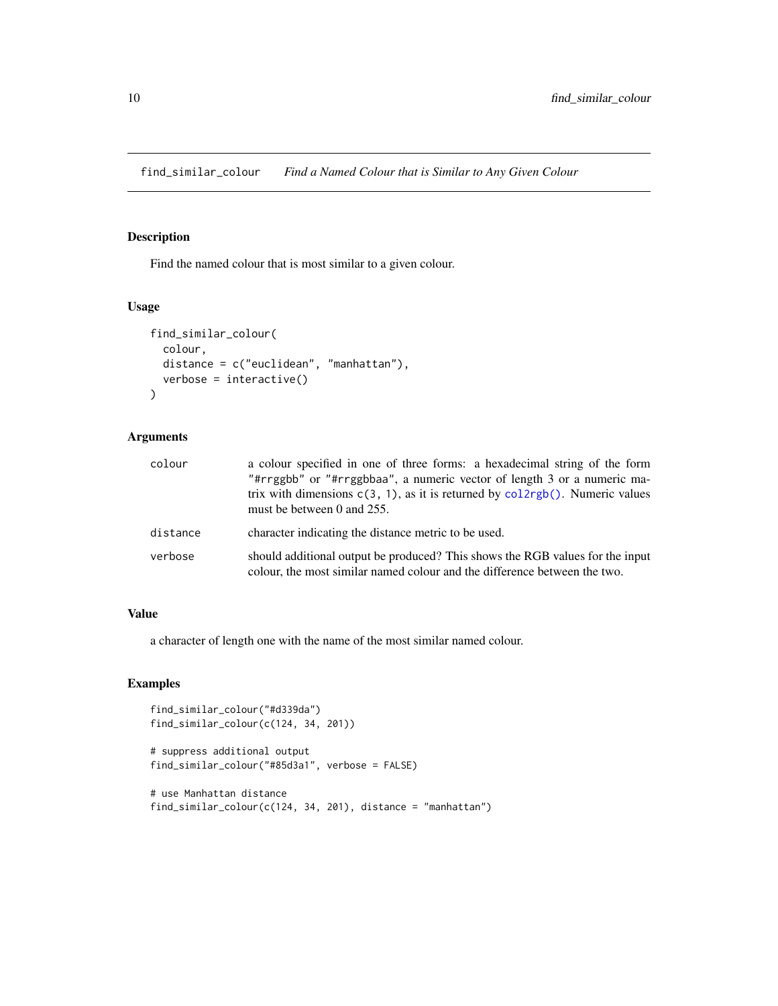<span id="page-9-0"></span>find\_similar\_colour *Find a Named Colour that is Similar to Any Given Colour*

#### Description

Find the named colour that is most similar to a given colour.

#### Usage

```
find_similar_colour(
  colour,
  distance = c("euclidean", "manhattan"),
  verbose = interactive()
\mathcal{L}
```
#### Arguments

| colour   | a colour specified in one of three forms: a hexadecimal string of the form<br>"#rrggbb" or "#rrggbbaa", a numeric vector of length 3 or a numeric ma-<br>trix with dimensions $c(3, 1)$ , as it is returned by $\text{col2rgb}()$ . Numeric values<br>must be between 0 and 255. |
|----------|----------------------------------------------------------------------------------------------------------------------------------------------------------------------------------------------------------------------------------------------------------------------------------|
| distance | character indicating the distance metric to be used.                                                                                                                                                                                                                             |
| verbose  | should additional output be produced? This shows the RGB values for the input<br>colour, the most similar named colour and the difference between the two.                                                                                                                       |

#### Value

a character of length one with the name of the most similar named colour.

#### Examples

```
find_similar_colour("#d339da")
find_similar_colour(c(124, 34, 201))
```

```
# suppress additional output
find_similar_colour("#85d3a1", verbose = FALSE)
```

```
# use Manhattan distance
find_similar_colour(c(124, 34, 201), distance = "manhattan")
```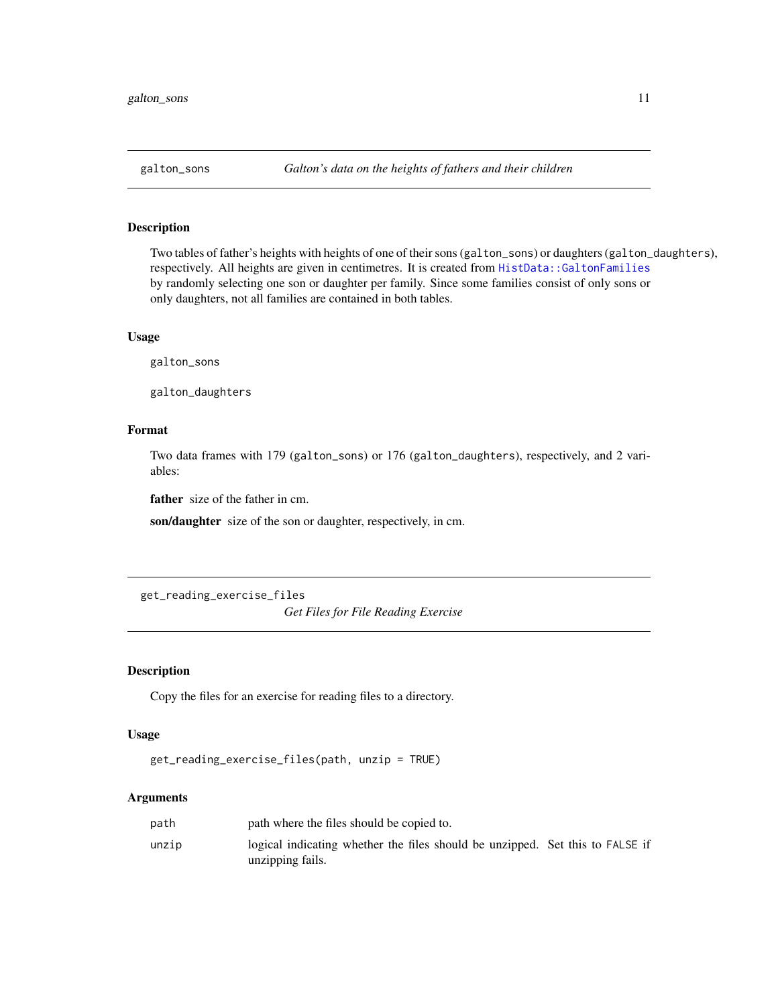<span id="page-10-0"></span>

Two tables of father's heights with heights of one of their sons (galton\_sons) or daughters (galton\_daughters), respectively. All heights are given in centimetres. It is created from [HistData::GaltonFamilies](#page-0-0) by randomly selecting one son or daughter per family. Since some families consist of only sons or only daughters, not all families are contained in both tables.

#### Usage

galton\_sons

galton\_daughters

#### Format

Two data frames with 179 (galton\_sons) or 176 (galton\_daughters), respectively, and 2 variables:

father size of the father in cm.

son/daughter size of the son or daughter, respectively, in cm.

get\_reading\_exercise\_files

*Get Files for File Reading Exercise*

#### Description

Copy the files for an exercise for reading files to a directory.

#### Usage

```
get_reading_exercise_files(path, unzip = TRUE)
```
#### Arguments

| path where the files should be copied to.                                     |                  |
|-------------------------------------------------------------------------------|------------------|
| logical indicating whether the files should be unzipped. Set this to FALSE if |                  |
|                                                                               | unzipping fails. |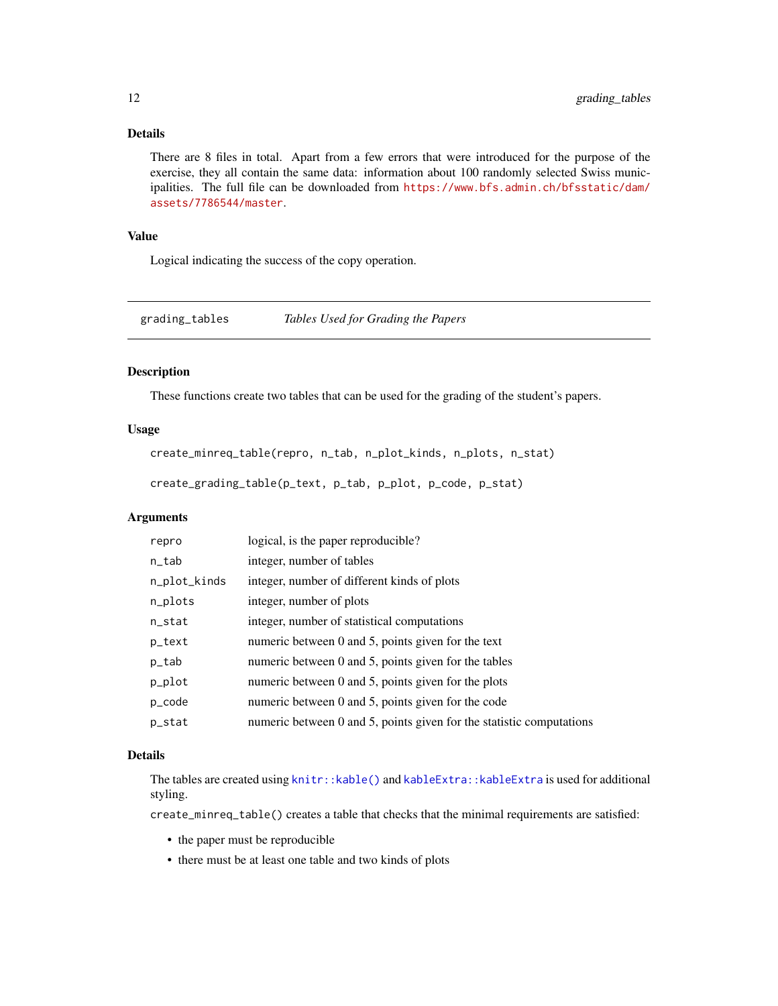#### <span id="page-11-0"></span>Details

There are 8 files in total. Apart from a few errors that were introduced for the purpose of the exercise, they all contain the same data: information about 100 randomly selected Swiss municipalities. The full file can be downloaded from [https://www.bfs.admin.ch/bfsstatic/dam/](https://www.bfs.admin.ch/bfsstatic/dam/assets/7786544/master) [assets/7786544/master](https://www.bfs.admin.ch/bfsstatic/dam/assets/7786544/master).

#### Value

Logical indicating the success of the copy operation.

grading\_tables *Tables Used for Grading the Papers*

#### Description

These functions create two tables that can be used for the grading of the student's papers.

#### Usage

```
create_minreq_table(repro, n_tab, n_plot_kinds, n_plots, n_stat)
```
create\_grading\_table(p\_text, p\_tab, p\_plot, p\_code, p\_stat)

#### Arguments

| repro        | logical, is the paper reproducible?                                  |
|--------------|----------------------------------------------------------------------|
| n_tab        | integer, number of tables                                            |
| n_plot_kinds | integer, number of different kinds of plots                          |
| n_plots      | integer, number of plots                                             |
| n_stat       | integer, number of statistical computations                          |
| p_text       | numeric between 0 and 5, points given for the text                   |
| p_tab        | numeric between 0 and 5, points given for the tables                 |
| p_plot       | numeric between 0 and 5, points given for the plots                  |
| p_code       | numeric between $0$ and $5$ , points given for the code              |
| p_stat       | numeric between 0 and 5, points given for the statistic computations |

#### Details

The tables are created using [knitr::kable\(\)](#page-0-0) and [kableExtra::kableExtra](#page-0-0) is used for additional styling.

create\_minreq\_table() creates a table that checks that the minimal requirements are satisfied:

- the paper must be reproducible
- there must be at least one table and two kinds of plots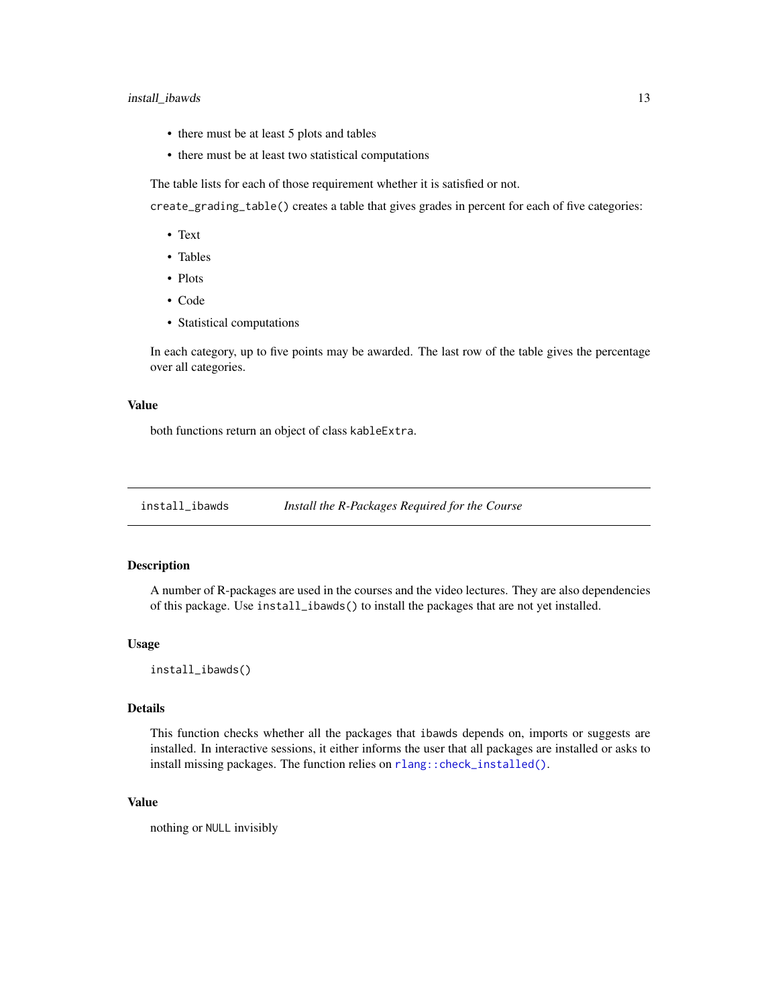#### <span id="page-12-0"></span>install\_ibawds 13

- there must be at least 5 plots and tables
- there must be at least two statistical computations

The table lists for each of those requirement whether it is satisfied or not.

create\_grading\_table() creates a table that gives grades in percent for each of five categories:

- Text
- Tables
- Plots
- Code
- Statistical computations

In each category, up to five points may be awarded. The last row of the table gives the percentage over all categories.

#### Value

both functions return an object of class kableExtra.

install\_ibawds *Install the R-Packages Required for the Course*

#### Description

A number of R-packages are used in the courses and the video lectures. They are also dependencies of this package. Use install\_ibawds() to install the packages that are not yet installed.

#### Usage

```
install_ibawds()
```
#### Details

This function checks whether all the packages that ibawds depends on, imports or suggests are installed. In interactive sessions, it either informs the user that all packages are installed or asks to install missing packages. The function relies on [rlang::check\\_installed\(\)](#page-0-0).

#### Value

nothing or NULL invisibly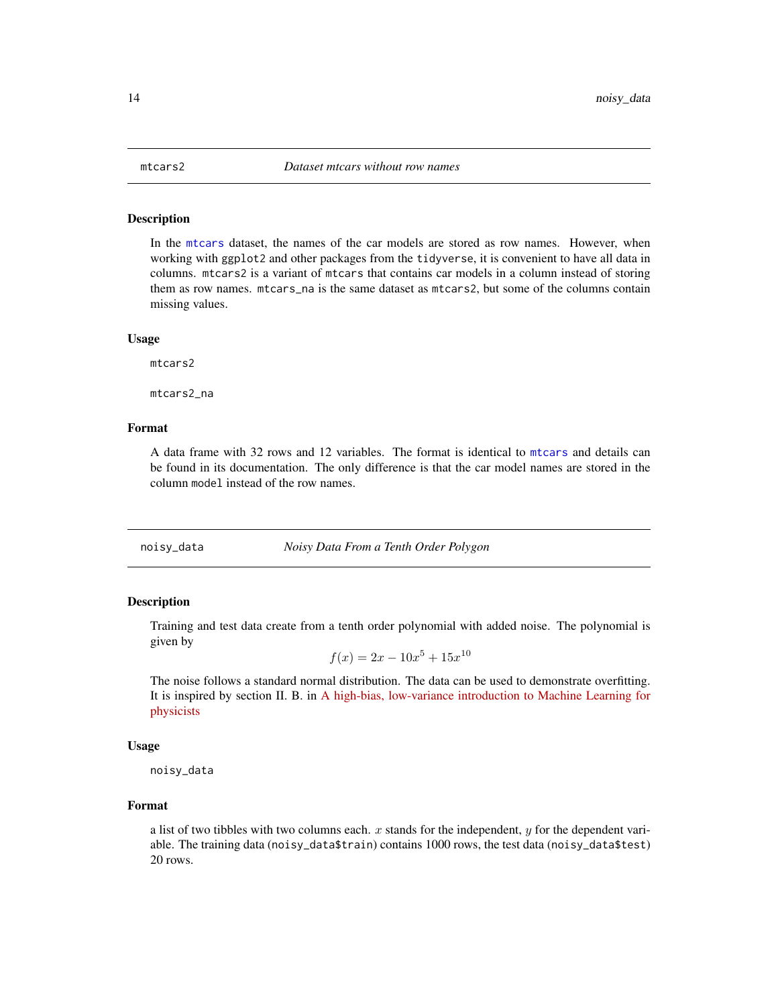<span id="page-13-0"></span>

In the [mtcars](#page-0-0) dataset, the names of the car models are stored as row names. However, when working with ggplot2 and other packages from the tidyverse, it is convenient to have all data in columns. mtcars2 is a variant of mtcars that contains car models in a column instead of storing them as row names. mtcars\_na is the same dataset as mtcars2, but some of the columns contain missing values.

#### Usage

mtcars2

mtcars2\_na

#### Format

A data frame with 32 rows and 12 variables. The format is identical to [mtcars](#page-0-0) and details can be found in its documentation. The only difference is that the car model names are stored in the column model instead of the row names.

noisy\_data *Noisy Data From a Tenth Order Polygon*

#### Description

Training and test data create from a tenth order polynomial with added noise. The polynomial is given by

$$
f(x) = 2x - 10x^5 + 15x^{10}
$$

The noise follows a standard normal distribution. The data can be used to demonstrate overfitting. It is inspired by section II. B. in [A high-bias, low-variance introduction to Machine Learning for](https://arxiv.org/abs/1803.08823) [physicists](https://arxiv.org/abs/1803.08823)

#### Usage

noisy\_data

#### Format

a list of two tibbles with two columns each.  $x$  stands for the independent,  $y$  for the dependent variable. The training data (noisy\_data\$train) contains 1000 rows, the test data (noisy\_data\$test) 20 rows.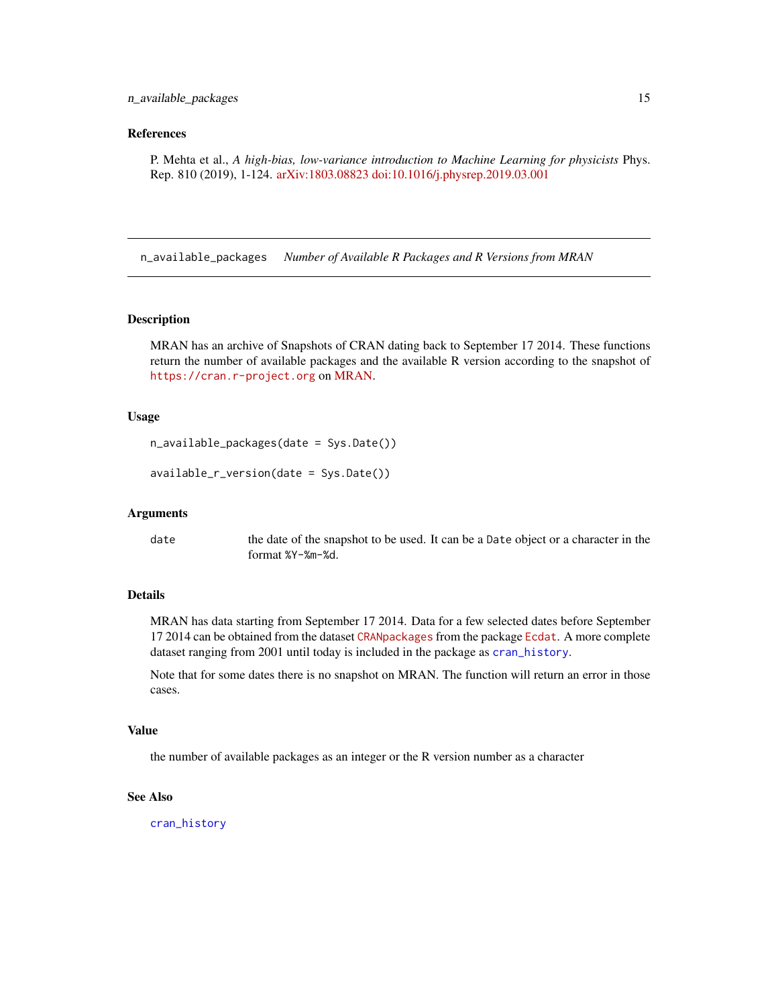#### <span id="page-14-0"></span>n\_available\_packages 15

#### References

P. Mehta et al., *A high-bias, low-variance introduction to Machine Learning for physicists* Phys. Rep. 810 (2019), 1-124. [arXiv:1803.08823](https://arxiv.org/abs/1803.08823) [doi:10.1016/j.physrep.2019.03.001](https://doi.org/10.1016/j.physrep.2019.03.001)

<span id="page-14-1"></span>n\_available\_packages *Number of Available R Packages and R Versions from MRAN*

#### <span id="page-14-2"></span>Description

MRAN has an archive of Snapshots of CRAN dating back to September 17 2014. These functions return the number of available packages and the available R version according to the snapshot of <https://cran.r-project.org> on [MRAN.](https://mran.microsoft.com)

#### Usage

```
n_available_packages(date = Sys.Date())
```

```
available_r_version(date = Sys.Date())
```
#### Arguments

date the date of the snapshot to be used. It can be a Date object or a character in the format %Y-%m-%d.

#### Details

MRAN has data starting from September 17 2014. Data for a few selected dates before September 17 2014 can be obtained from the dataset [CRANpackages](https://www.rdocumentation.org/packages/Ecdat/versions/0.3-9/topics/CRANpackages) from the package [Ecdat](https://cran.r-project.org/package=Ecdat). A more complete dataset ranging from 2001 until today is included in the package as [cran\\_history](#page-4-1).

Note that for some dates there is no snapshot on MRAN. The function will return an error in those cases.

#### Value

the number of available packages as an integer or the R version number as a character

#### See Also

[cran\\_history](#page-4-1)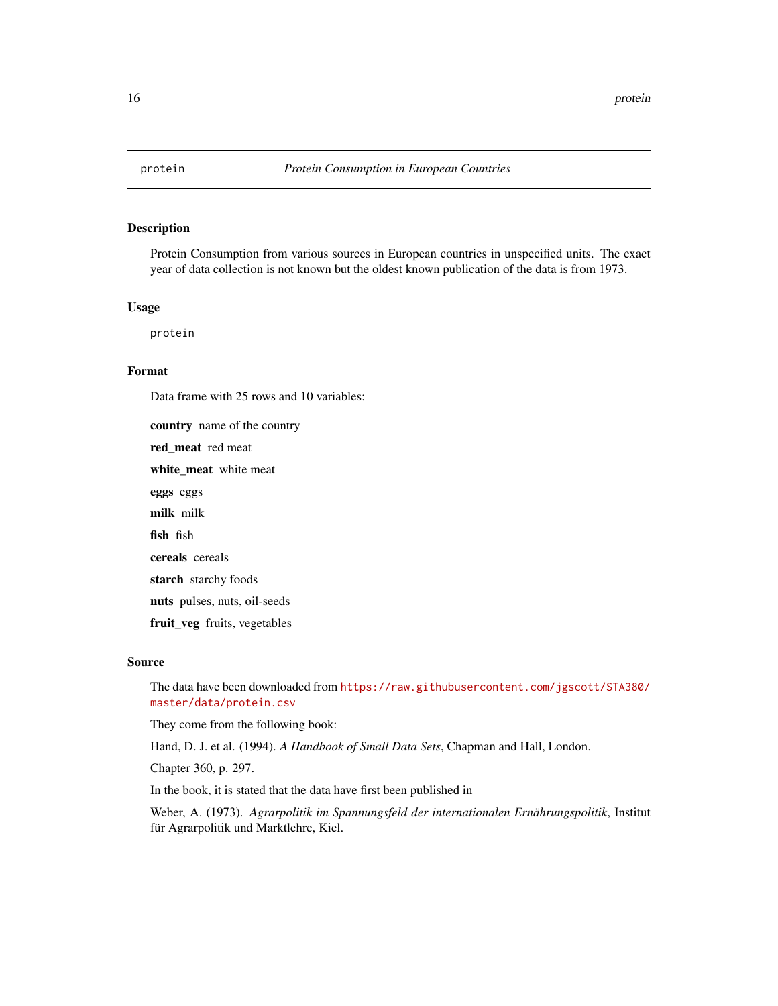<span id="page-15-0"></span>

Protein Consumption from various sources in European countries in unspecified units. The exact year of data collection is not known but the oldest known publication of the data is from 1973.

#### Usage

protein

#### Format

Data frame with 25 rows and 10 variables:

country name of the country red\_meat red meat white meat white meat eggs eggs milk milk fish fish cereals cereals starch starchy foods nuts pulses, nuts, oil-seeds fruit\_veg fruits, vegetables

#### Source

The data have been downloaded from [https://raw.githubusercontent.com/jgscott/STA380/](https://raw.githubusercontent.com/jgscott/STA380/master/data/protein.csv) [master/data/protein.csv](https://raw.githubusercontent.com/jgscott/STA380/master/data/protein.csv)

They come from the following book:

Hand, D. J. et al. (1994). *A Handbook of Small Data Sets*, Chapman and Hall, London.

Chapter 360, p. 297.

In the book, it is stated that the data have first been published in

Weber, A. (1973). *Agrarpolitik im Spannungsfeld der internationalen Ernährungspolitik*, Institut für Agrarpolitik und Marktlehre, Kiel.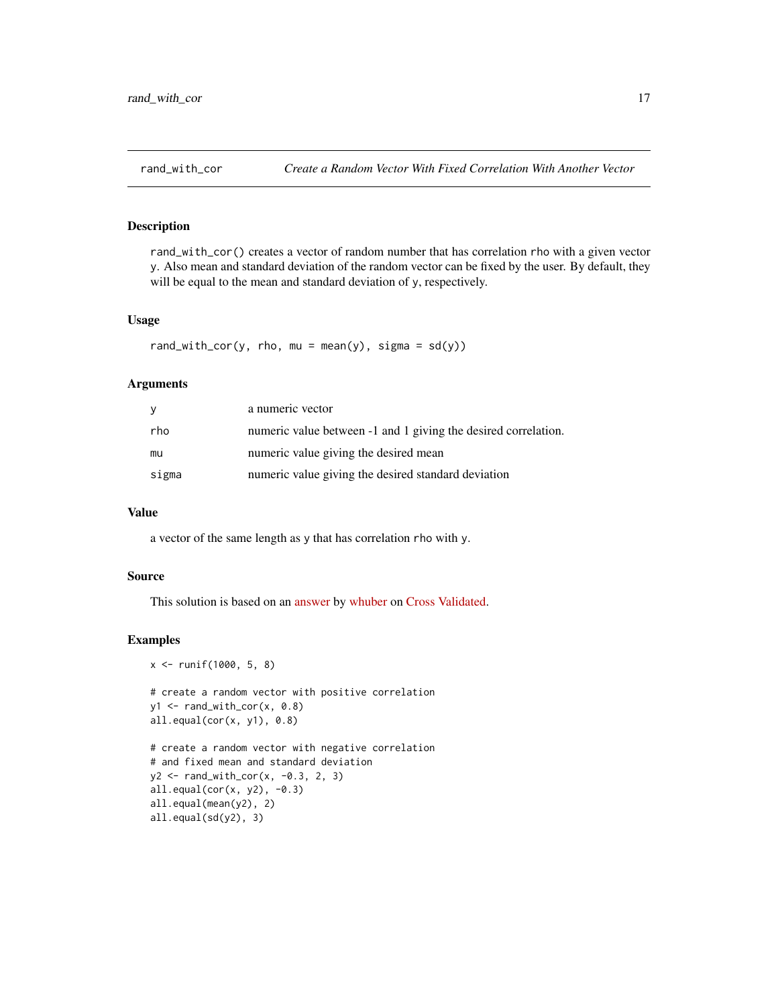<span id="page-16-0"></span>rand\_with\_cor() creates a vector of random number that has correlation rho with a given vector y. Also mean and standard deviation of the random vector can be fixed by the user. By default, they will be equal to the mean and standard deviation of y, respectively.

#### Usage

rand\_with\_cor(y, rho, mu = mean(y), sigma =  $sd(y)$ )

#### Arguments

| y     | a numeric vector                                               |
|-------|----------------------------------------------------------------|
| rho   | numeric value between -1 and 1 giving the desired correlation. |
| mu    | numeric value giving the desired mean                          |
| sigma | numeric value giving the desired standard deviation            |

#### Value

a vector of the same length as y that has correlation rho with y.

#### Source

This solution is based on an [answer](https://stats.stackexchange.com/a/313138/64220) by [whuber](https://stats.stackexchange.com/users/919/whuber) on [Cross Validated.](https://stats.stackexchange.com)

#### Examples

```
x <- runif(1000, 5, 8)
# create a random vector with positive correlation
y1 <- rand_with_cor(x, 0.8)
all.equal(cor(x, y1), 0.8)
# create a random vector with negative correlation
# and fixed mean and standard deviation
y2 <- rand_with_cor(x, -0.3, 2, 3)
all.equal(cor(x, y2), -0.3)
all.equal(mean(y2), 2)
```

```
all.equal(sd(y2), 3)
```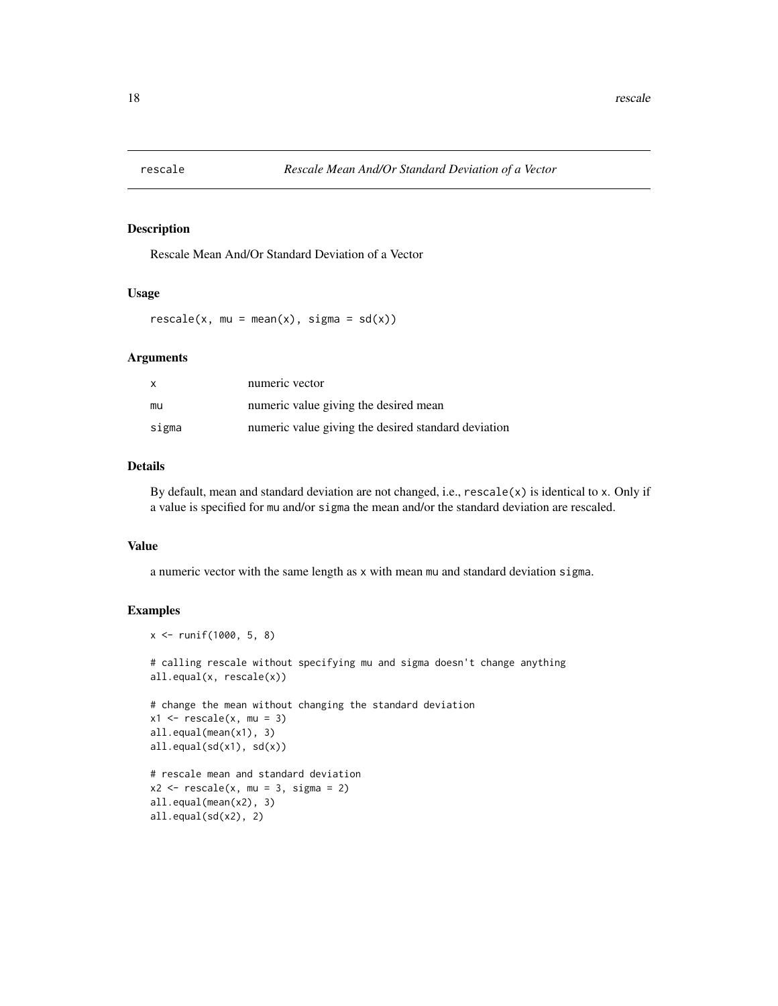<span id="page-17-0"></span>

Rescale Mean And/Or Standard Deviation of a Vector

#### Usage

 $rescale(x, mu = mean(x), sigma = sd(x))$ 

#### Arguments

| X     | numeric vector                                      |
|-------|-----------------------------------------------------|
| mu    | numeric value giving the desired mean               |
| sigma | numeric value giving the desired standard deviation |

#### Details

By default, mean and standard deviation are not changed, i.e.,  $rescale(x)$  is identical to x. Only if a value is specified for mu and/or sigma the mean and/or the standard deviation are rescaled.

#### Value

a numeric vector with the same length as x with mean mu and standard deviation sigma.

#### Examples

```
x <- runif(1000, 5, 8)
# calling rescale without specifying mu and sigma doesn't change anything
all.equal(x, rescale(x))
# change the mean without changing the standard deviation
x1 \leftarrow rescale(x, mu = 3)
all.equal(mean(x1), 3)
all.equal(sd(x1), sd(x))
# rescale mean and standard deviation
x2 \le - rescale(x, mu = 3, sigma = 2)
all.equal(mean(x2), 3)
all.equal(sd(x2), 2)
```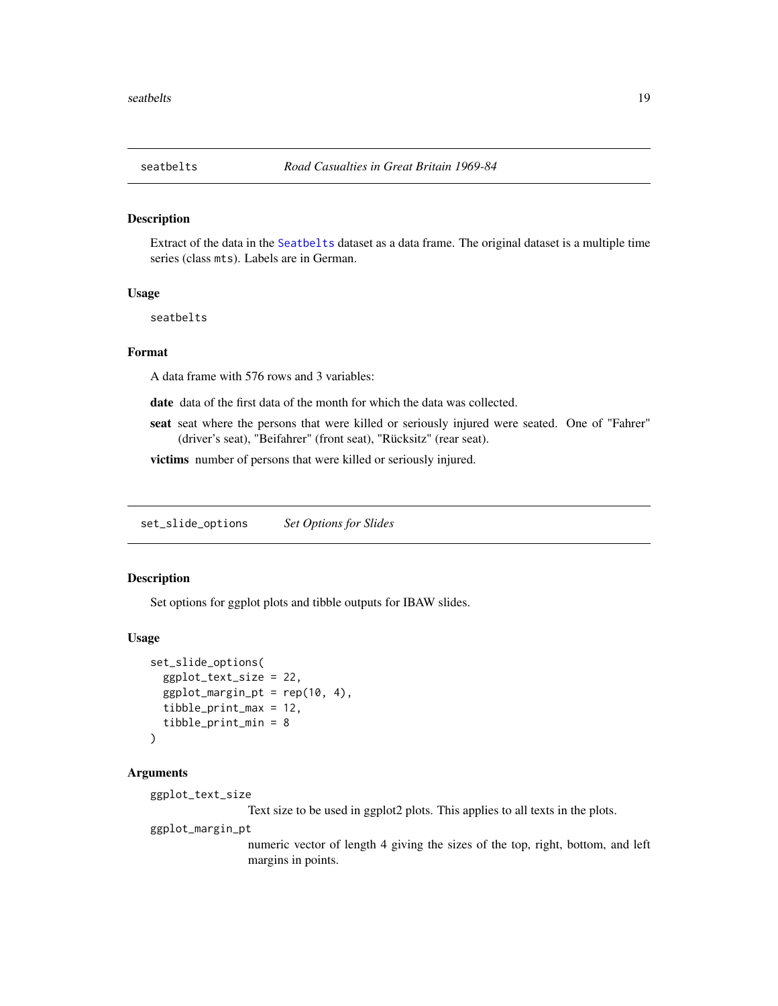<span id="page-18-0"></span>Extract of the data in the [Seatbelts](#page-0-0) dataset as a data frame. The original dataset is a multiple time series (class mts). Labels are in German.

#### Usage

seatbelts

#### Format

A data frame with 576 rows and 3 variables:

date data of the first data of the month for which the data was collected.

seat seat where the persons that were killed or seriously injured were seated. One of "Fahrer" (driver's seat), "Beifahrer" (front seat), "Rücksitz" (rear seat).

victims number of persons that were killed or seriously injured.

set\_slide\_options *Set Options for Slides*

#### Description

Set options for ggplot plots and tibble outputs for IBAW slides.

#### Usage

```
set_slide_options(
  ggplot_text_size = 22,
  ggplot_margin_pt = rep(10, 4),tibble_print_max = 12,
  tibble_print_min = 8
\lambda
```
#### Arguments

ggplot\_text\_size

Text size to be used in ggplot2 plots. This applies to all texts in the plots.

ggplot\_margin\_pt

numeric vector of length 4 giving the sizes of the top, right, bottom, and left margins in points.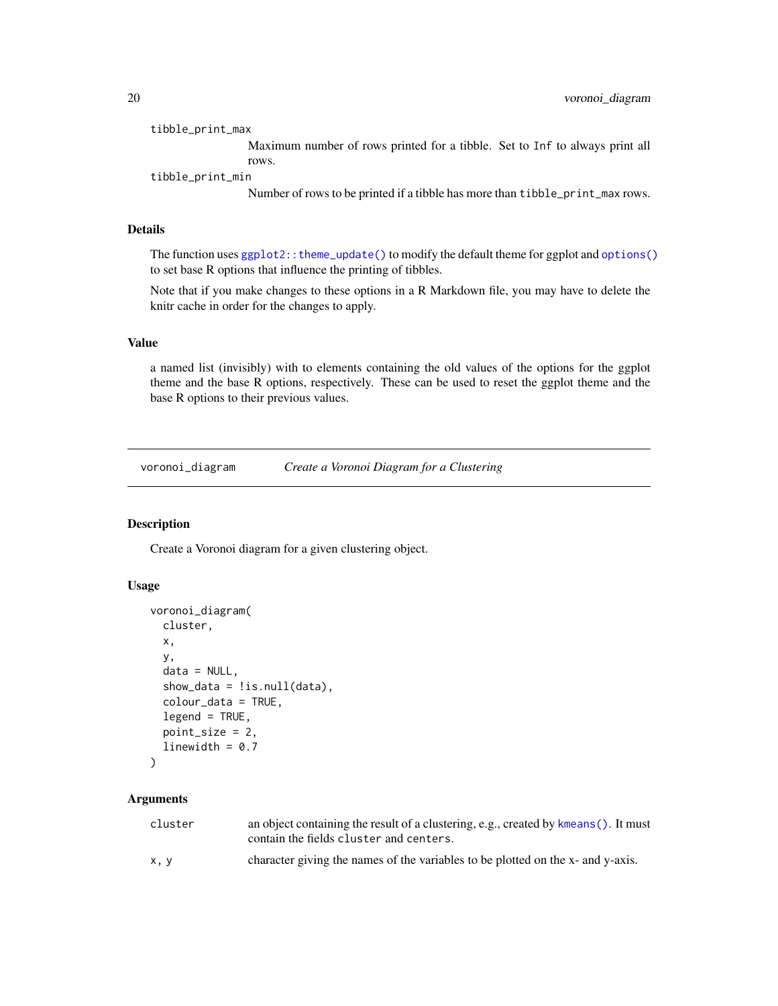#### <span id="page-19-0"></span>tibble\_print\_max

Maximum number of rows printed for a tibble. Set to Inf to always print all rows.

tibble\_print\_min

Number of rows to be printed if a tibble has more than tibble\_print\_max rows.

#### Details

The function uses [ggplot2::theme\\_update\(\)](#page-0-0) to modify the default theme for ggplot and [options\(\)](#page-0-0) to set base R options that influence the printing of tibbles.

Note that if you make changes to these options in a R Markdown file, you may have to delete the knitr cache in order for the changes to apply.

#### Value

a named list (invisibly) with to elements containing the old values of the options for the ggplot theme and the base R options, respectively. These can be used to reset the ggplot theme and the base R options to their previous values.

voronoi\_diagram *Create a Voronoi Diagram for a Clustering*

#### Description

Create a Voronoi diagram for a given clustering object.

#### Usage

```
voronoi_diagram(
  cluster,
 x,
 y,
  data = NULL,
  show_data = !is.null(data),
 colour_data = TRUE,
  legend = TRUE,point_size = 2,
  linewidth = 0.7\lambda
```
#### Arguments

| cluster | an object containing the result of a clustering, e.g., created by kmeans (). It must<br>contain the fields cluster and centers. |
|---------|---------------------------------------------------------------------------------------------------------------------------------|
| x, y    | character giving the names of the variables to be plotted on the x- and y-axis.                                                 |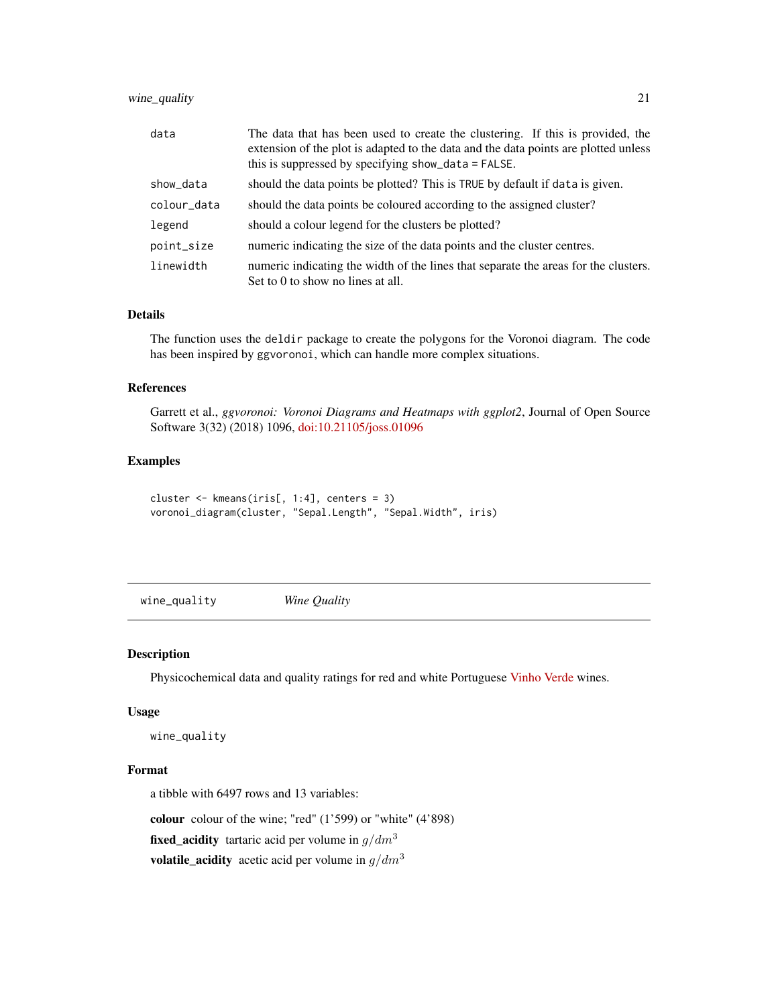#### <span id="page-20-0"></span>wine\_quality 21

| data        | The data that has been used to create the clustering. If this is provided, the<br>extension of the plot is adapted to the data and the data points are plotted unless<br>this is suppressed by specifying show_data = FALSE. |
|-------------|------------------------------------------------------------------------------------------------------------------------------------------------------------------------------------------------------------------------------|
| show_data   | should the data points be plotted? This is TRUE by default if data is given.                                                                                                                                                 |
| colour_data | should the data points be coloured according to the assigned cluster?                                                                                                                                                        |
| legend      | should a colour legend for the clusters be plotted?                                                                                                                                                                          |
| point_size  | numeric indicating the size of the data points and the cluster centres.                                                                                                                                                      |
| linewidth   | numeric indicating the width of the lines that separate the areas for the clusters.<br>Set to 0 to show no lines at all.                                                                                                     |

#### Details

The function uses the deldir package to create the polygons for the Voronoi diagram. The code has been inspired by ggvoronoi, which can handle more complex situations.

#### References

Garrett et al., *ggvoronoi: Voronoi Diagrams and Heatmaps with ggplot2*, Journal of Open Source Software 3(32) (2018) 1096, [doi:10.21105/joss.01096](https://doi.org/10.21105/joss.01096)

#### Examples

```
cluster <- kmeans(iris[, 1:4], centers = 3)
voronoi_diagram(cluster, "Sepal.Length", "Sepal.Width", iris)
```
wine\_quality *Wine Quality*

#### Description

Physicochemical data and quality ratings for red and white Portuguese [Vinho Verde](https://en.wikipedia.org/wiki/Vinho_Verde) wines.

#### Usage

wine\_quality

#### Format

a tibble with 6497 rows and 13 variables:

colour colour of the wine; "red" (1'599) or "white" (4'898)

**fixed\_acidity** tartaric acid per volume in  $g/dm^3$ 

volatile\_acidity acetic acid per volume in  $g/dm<sup>3</sup>$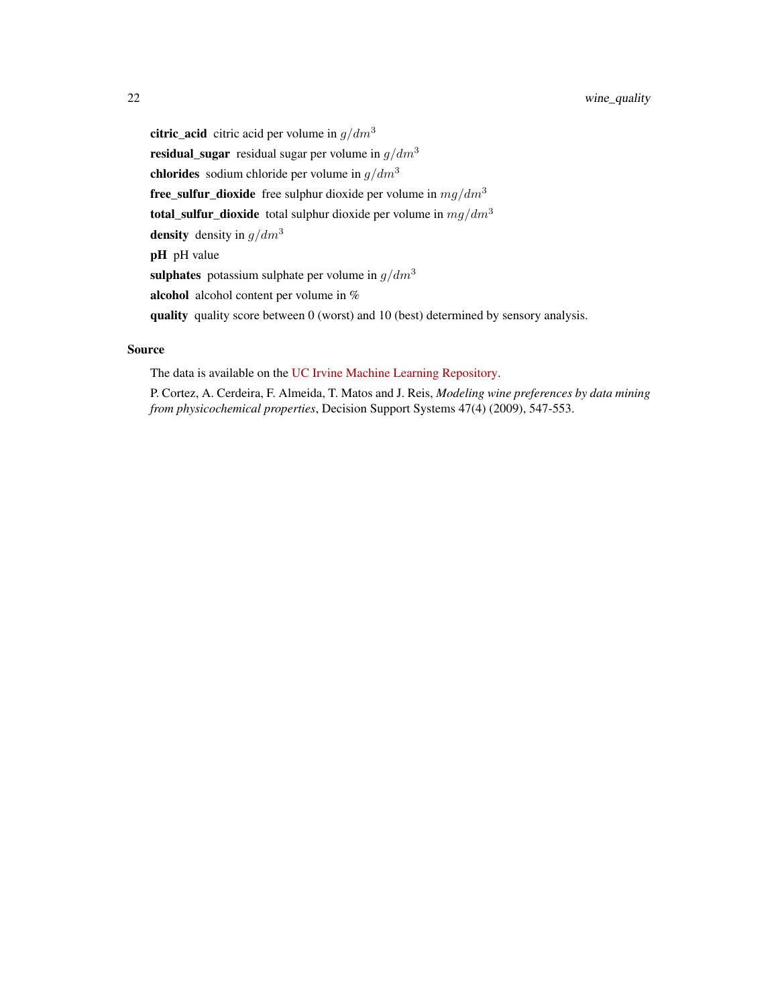citric\_acid citric acid per volume in  $q/dm<sup>3</sup>$ residual\_sugar residual sugar per volume in  $g/dm^3$ chlorides sodium chloride per volume in  $g/dm<sup>3</sup>$ **free\_sulfur\_dioxide** free sulphur dioxide per volume in  $mg/dm^3$ total\_sulfur\_dioxide total sulphur dioxide per volume in  $mg/dm^3$ density density in  $g/dm^3$ pH pH value sulphates potassium sulphate per volume in  $g/dm^3$ alcohol alcohol content per volume in % quality quality score between 0 (worst) and 10 (best) determined by sensory analysis.

#### Source

The data is available on the [UC Irvine Machine Learning Repository.](https://archive-beta.ics.uci.edu/ml/datasets/wine+quality)

P. Cortez, A. Cerdeira, F. Almeida, T. Matos and J. Reis, *Modeling wine preferences by data mining from physicochemical properties*, Decision Support Systems 47(4) (2009), 547-553.